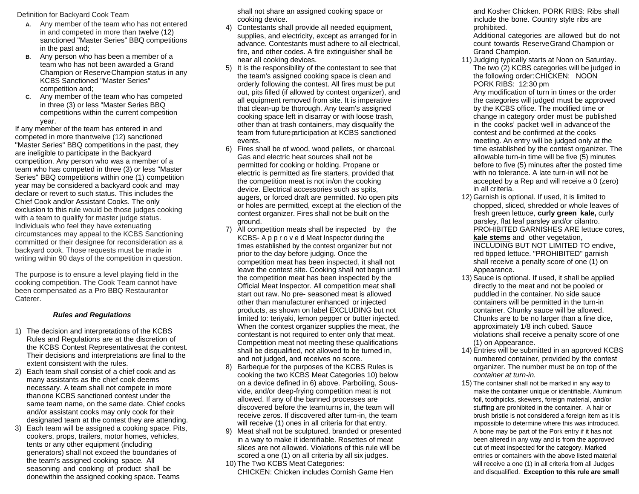Definition for Backyard Cook Team

- **A.** Any member of the team who has not entered in and competed in more than twelve (12) sanctioned "Master Series" BBQ competitions in the past and;
- **B.** Any person who has been a member of a team who has not been awarded a Grand Champion or ReserveChampion status in any KCBS Sanctioned "Master Series" competition and;
- **C.** Any member of the team who has competed in three (3) or less "Master Series BBQ competitions within the current competition year.

If any member of the team has entered in and competed in more thantwelve (12) sanctioned "Master Series" BBQ competitions in the past, they are ineligible to participate in the Backyard competition. Any person who was a member of a team who has competed in three (3) or less "Master Series" BBQ competitions within one (1) competition year may be considered a backyard cook and may declare or revert to such status. This includes the Chief Cook and/or Assistant Cooks. The only exclusion to this rule would be those judges cooking with a team to qualify for master judge status. Individuals who feel they have extenuating circumstances may appeal to the KCBS Sanctioning committed or their designee for reconsideration as a backyard cook. Those requests must be made in writing within 90 days of the competition in question.

The purpose is to ensure a level playing field in the cooking competition. The Cook Team cannot have been compensated as a Pro BBQ Restaurantor Caterer.

### *Rules and Regulations*

- 1) The decision and interpretations of the KCBS Rules and Regulations are at the discretion of the KCBS Contest Representativesat the contest. Their decisions and interpretations are final to the extent consistent with the rules.
- 2) Each team shall consist of a chief cook and as many assistants as the chief cook deems necessary. A team shall not compete in more thanone KCBS sanctioned contest under the same team name, on the same date. Chief cooks and/or assistant cooks may only cook for their designated team at the contest they are attending.
- 3) Each team will be assigned a cooking space. Pits, cookers, props, trailers, motor homes, vehicles, tents or any other equipment (including generators) shall not exceed the boundaries of the team's assigned cooking space. All seasoning and cooking of product shall be donewithin the assigned cooking space. Teams

shall not share an assigned cooking space or cooking device.

- 4) Contestants shall provide all needed equipment, supplies, and electricity, except as arranged for in advance. Contestants must adhere to all electrical, fire, and other codes. A fire extinguisher shall be near all cooking devices.
- 5) It is the responsibility of the contestant to see that the team's assigned cooking space is clean and orderly following the contest. All fires must be put out, pits filled (if allowed by contest organizer), and all equipment removed from site. It is imperative that clean-up be thorough. Any team's assigned cooking space left in disarray or with loose trash, other than at trash containers, may disqualify the team from futureparticipation at KCBS sanctioned events.
- 6) Fires shall be of wood, wood pellets, or charcoal. Gas and electric heat sources shall not be permitted for cooking or holding. Propane or electric is permitted as fire starters, provided that the competition meat is not in/on the cooking device. Electrical accessories such as spits, augers, or forced draft are permitted. No open pits or holes are permitted, except at the election of the contest organizer. Fires shall not be built on the ground.
- 7) All competition meats shall be inspected by the KCBS- A p p r o v e d Meat Inspector during the times established by the contest organizer but not prior to the day before judging. Once the competition meat has been inspected, it shall not leave the contest site. Cooking shall not begin until the competition meat has been inspected by the Official Meat Inspector. All competition meat shall start out raw. No pre- seasoned meat is allowed other than manufacturer enhanced or injected products, as shown on label EXCLUDING but not limited to: teriyaki, lemon pepper or butter injected. When the contest organizer supplies the meat, the contestant is not required to enter only that meat. Competition meat not meeting these qualifications shall be disqualified, not allowed to be turned in, and not judged, and receives no score.
- 8) Barbeque for the purposes of the KCBS Rules is cooking the two KCBS Meat Categories 10) below on a device defined in 6) above. Parboiling, Sousvide, and/or deep-frying competition meat is not allowed. If any of the banned processes are discovered before the teamturns in, the team will receive zeros. If discovered after turn-in, the team will receive (1) ones in all criteria for that entry.
- 9) Meat shall not be sculptured, branded or presented in a way to make it identifiable. Rosettes of meat slices are not allowed. Violations of this rule will be scored a one (1) on all criteria by all six judges.
- 10) The Two KCBS Meat Categories: CHICKEN: Chicken includes Cornish Game Hen

and Kosher Chicken. PORK RIBS: Ribs shall include the bone. Country style ribs are prohibited.

Additional categories are allowed but do not count towards ReserveGrand Champion or Grand Champion.

11) Judging typically starts at Noon on Saturday. The two (2) KCBS categories will be judged in the following order:CHICKEN: NOON PORK RIBS: 12:30 pm Any modification of turn in times or the order the categories will judged must be approved by the KCBS office. The modified time or change in category order must be published in the cooks' packet well in advanceof the contest and be confirmed at the cooks

meeting. An entry will be judged only at the time established by the contest organizer. The allowable turn-in time will be five (5) minutes before to five (5) minutes after the posted time with no tolerance. A late turn-in will not be accepted by a Rep and will receive a 0 (zero) in all criteria.

- 12) Garnish is optional. If used, it is limited to chopped, sliced, shredded or whole leaves of fresh green lettuce, **curly green kale,** curly parsley, flat leaf parsley and/or cilantro. PROHIBITED GARNISHES ARE lettuce cores, **kale stems** and other vegetation, INCLUDING BUT NOT LIMITED TO endive, red tipped lettuce. "PROHIBITED" garnish shall receive a penalty score of one (1) on Appearance.
- 13) Sauce is optional. If used, it shall be applied directly to the meat and not be pooled or puddled in the container. No side sauce containers will be permitted in the turn-in container. Chunky sauce will be allowed. Chunks are to be no larger than a fine dice, approximately 1/8 inch cubed. Sauce violations shall receive a penalty score of one (1) on Appearance.
- 14) Entries will be submitted in an approved KCBS numbered container, provided by the contest organizer. The number must be on top of the *container at turn-in.*
- 15) The container shall not be marked in any way to make the container unique or identifiable. Aluminum foil, toothpicks, skewers, foreign material, and/or stuffing are prohibited in the container. A hair or brush bristle is not considered a foreign item as it is impossible to determine where this was introduced. A bone may be part of the Pork entry if it has not been altered in any way and is from the approved cut of meat inspected for the category. Marked entries or containers with the above listed material will receive a one (1) in all criteria from all Judges and disqualified. **Exception to this rule are small**